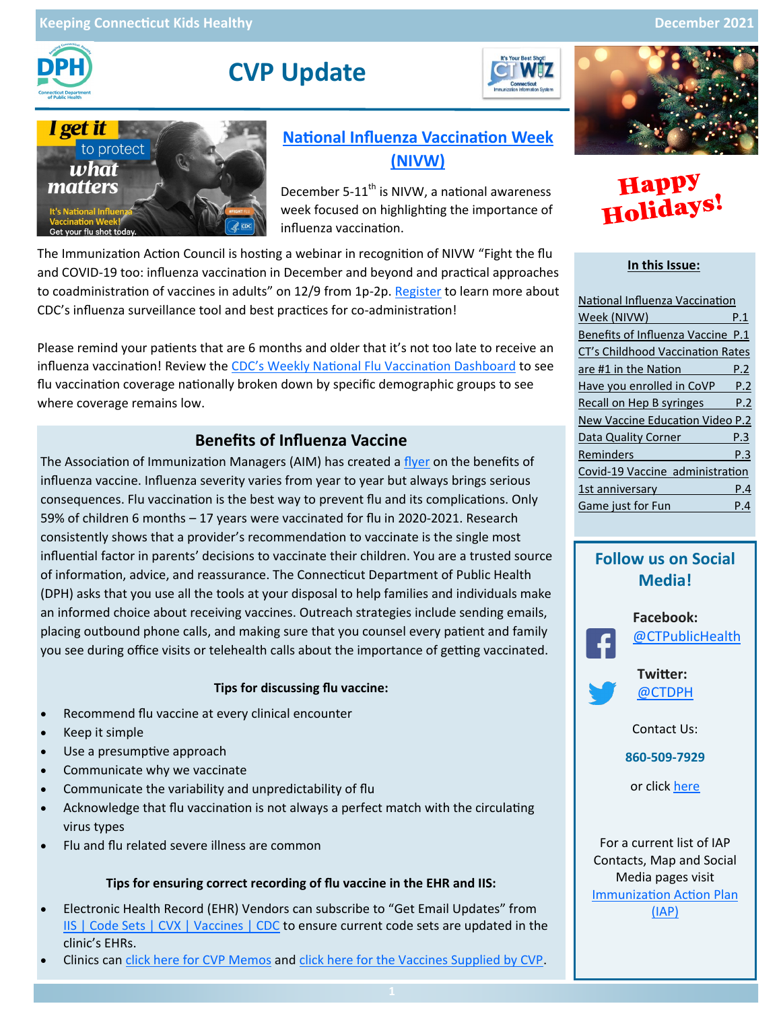

# **CVP Update**





## **[National Influenza Vaccination Week](https://www.cdc.gov/flu/resource-center/nivw/index.htm)  [\(NIVW\)](https://www.cdc.gov/flu/resource-center/nivw/index.htm)**

December 5-11<sup>th</sup> is NIVW, a national awareness week focused on highlighting the importance of influenza vaccination.

The Immunization Action Council is hosting a webinar in recognition of NIVW "Fight the flu and COVID-19 too: influenza vaccination in December and beyond and practical approaches to coadministration of vaccines in adults" on 12/9 from 1p-2p. [Register](https://zoom.us/webinar/register/WN_HxwMCptYRiGLgelWPVXZaw) to learn more about CDC's influenza surveillance tool and best practices for co-administration!

Please remind your patients that are 6 months and older that it's not too late to receive an influenza vaccination! Review the CDC'[s Weekly National Flu Vaccination Dashboard](https://www.cdc.gov/flu/fluvaxview/dashboard/vaccination-dashboard.html) to see flu vaccination coverage nationally broken down by specific demographic groups to see where coverage remains low.

## **Benefits of Influenza Vaccine**

The Association of Immunization Managers (AIM) has created a [flyer](https://www.immunize.org/catg.d/p3115.pdf) on the benefits of influenza vaccine. Influenza severity varies from year to year but always brings serious consequences. Flu vaccination is the best way to prevent flu and its complications. Only 59% of children 6 months – 17 years were vaccinated for flu in 2020-2021. Research consistently shows that a provider's recommendation to vaccinate is the single most influential factor in parents' decisions to vaccinate their children. You are a trusted source of information, advice, and reassurance. The Connecticut Department of Public Health (DPH) asks that you use all the tools at your disposal to help families and individuals make an informed choice about receiving vaccines. Outreach strategies include sending emails, placing outbound phone calls, and making sure that you counsel every patient and family you see during office visits or telehealth calls about the importance of getting vaccinated.

#### **Tips for discussing flu vaccine:**

- Recommend flu vaccine at every clinical encounter
- Keep it simple
- Use a presumptive approach
- Communicate why we vaccinate
- Communicate the variability and unpredictability of flu
- Acknowledge that flu vaccination is not always a perfect match with the circulating virus types
- Flu and flu related severe illness are common

#### **Tips for ensuring correct recording of flu vaccine in the EHR and IIS:**

- Electronic Health Record (EHR) Vendors can subscribe to "Get Email Updates" from [IIS | Code Sets | CVX | Vaccines | CDC](https://www2a.cdc.gov/vaccines/iis/iisstandards/vaccines.asp?rpt=cvx) to ensure current code sets are updated in the clinic's EHRs.
- Clinics can [click here for CVP Memos](https://portal.ct.gov/DPH/Immunizations/CVP---Information-for-Providers) and [click here for the Vaccines Supplied by CVP.](https://portal.ct.gov/-/media/Departments-and-Agencies/DPH/dph/infectious_diseases/immunization/CVP-2020/Vaccines_Supplied_By_CT_CVP_8-31-21.pdf)



# **Happy<br>Holidays**

#### **In this Issue:**

| National Influenza Vaccination    |     |
|-----------------------------------|-----|
| Week (NIVW)                       | P.1 |
| Benefits of Influenza Vaccine P.1 |     |
| CT's Childhood Vaccination Rates  |     |
| are #1 in the Nation              | P.2 |
| Have you enrolled in CoVP         | P.2 |
| Recall on Hep B syringes          | P.2 |
| New Vaccine Education Video P.2   |     |
| Data Quality Corner               | P.3 |
| Reminders                         | P.3 |
| Covid-19 Vaccine administration   |     |
| 1st anniversary                   | P.4 |
| Game just for Fun                 | Р.4 |

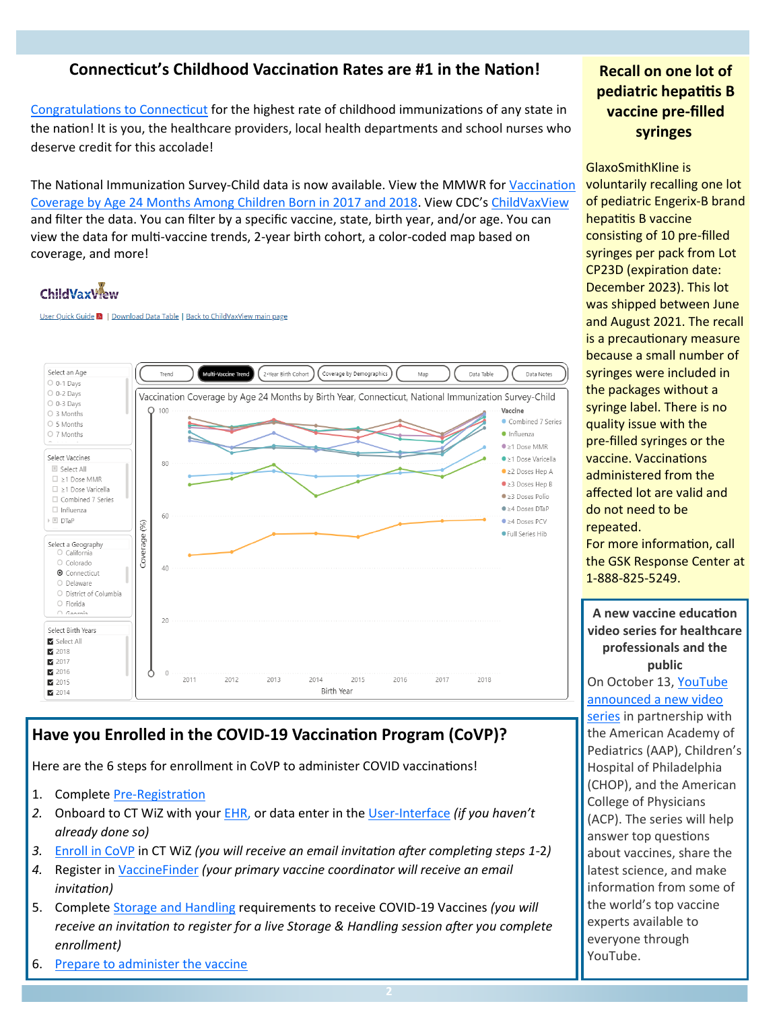## **Connecticut's Childhood Vaccination Rates are #1 in the Nation!**

[Congratulations to Connecticut](https://portal.ct.gov/Office-of-the-Governor/News/Press-Releases/2021/10-2021/Governor-Lamont-National-Report-Shows-Connecticut-Ranks-First-in-Childhood-Vaccinations?utm_medium=email&utm_campaign=Governor%20Lamont%20National%20Report%20Shows%20Connecticut%20R) for the highest rate of childhood immunizations of any state in the nation! It is you, the healthcare providers, local health departments and school nurses who deserve credit for this accolade!

The National Immunization Survey-Child data is now available. View the MMWR for [Vaccination](https://www.cdc.gov/mmwr/volumes/70/wr/mm7041a1.htm)  [Coverage by Age 24 Months Among Children Born in 2017 and 2018.](https://www.cdc.gov/mmwr/volumes/70/wr/mm7041a1.htm) View CDC's [ChildVaxView](https://www.cdc.gov/vaccines/imz-managers/coverage/childvaxview/interactive-reports/index.html) and filter the data. You can filter by a specific vaccine, state, birth year, and/or age. You can view the data for multi-vaccine trends, 2-year birth cohort, a color-coded map based on coverage, and more!

## **ChildVaxView**

User Quick Guide A | Download Data Table | Back to ChildVaxView main page



## **Have you Enrolled in the COVID-19 Vaccination Program (CoVP)?**

Here are the 6 steps for enrollment in CoVP to administer COVID vaccinations!

- 1. Complete Pre-[Registration](https://dphsubmissions.ct.gov/ClinicRegistration)
- *2.* Onboard to CT WiZ with your [EHR,](https://portal.ct.gov/DPH/Immunizations/Electronic-Health-Record-Electronic-Exchange-With-CT-WiZ) or data enter in the User-[Interface](https://portal.ct.gov/DPH/Immunizations/CT-WiZ-Training) *(if you haven't already done so)*
- *3.* [Enroll in CoVP](https://portal.ct.gov/DPH/Immunizations/Enroll-in-the-COVID-19-Vaccination-Program) in CT WiZ *(you will receive an email invitation after completing steps 1-*2*)*
- *4.* Register in [VaccineFinder](https://www.vaccines.gov/covid-provider-resources/) *(your primary vaccine coordinator will receive an email invitation)*
- 5. Complete [Storage and Handling](https://portal.ct.gov/DPH/Immunizations/Storage-and-Handling) requirements to receive COVID-19 Vaccines *(you will receive an invitation to register for a live Storage & Handling session after you complete enrollment)*
- 6. [Prepare to administer the vaccine](https://portal.ct.gov/DPH/Immunizations/COVID-19-Prepare-to-administer-the-vaccine)

## **Recall on one lot of pediatric hepatitis B vaccine pre-filled syringes**

GlaxoSmithKline is voluntarily recalling one lot of pediatric Engerix-B brand hepatitis B vaccine consisting of 10 pre-filled syringes per pack from Lot CP23D (expiration date: December 2023). This lot was shipped between June and August 2021. The recall is a precautionary measure because a small number of syringes were included in the packages without a syringe label. There is no quality issue with the pre-filled syringes or the vaccine. Vaccinations administered from the affected lot are valid and do not need to be repeated. For more information, call the GSK Response Center at 1-888-825-5249. **A new vaccine education video series for healthcare professionals and the public**  On October 13, [YouTube](https://blog.youtube/news-and-events/doctors-bring-their-expertise-vaccines-youtube/) 

[announced a new video](https://blog.youtube/news-and-events/doctors-bring-their-expertise-vaccines-youtube/)  [series](https://blog.youtube/news-and-events/doctors-bring-their-expertise-vaccines-youtube/) in partnership with the American Academy of Pediatrics (AAP), Children's Hospital of Philadelphia (CHOP), and the American College of Physicians (ACP). The series will help answer top questions about vaccines, share the latest science, and make information from some of the world's top vaccine experts available to everyone through YouTube.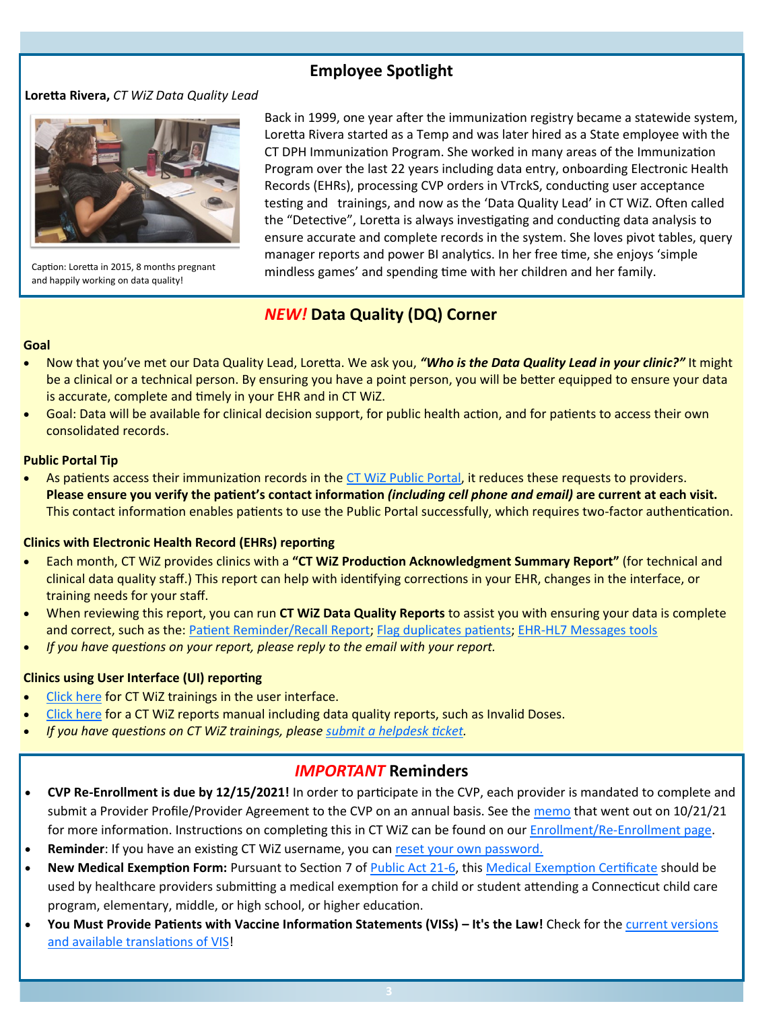## **Employee Spotlight**

#### **Loretta Rivera,** *CT WiZ Data Quality Lead*



Caption: Loretta in 2015, 8 months pregnant and happily working on data quality!

Back in 1999, one year after the immunization registry became a statewide system, Loretta Rivera started as a Temp and was later hired as a State employee with the CT DPH Immunization Program. She worked in many areas of the Immunization Program over the last 22 years including data entry, onboarding Electronic Health Records (EHRs), processing CVP orders in VTrckS, conducting user acceptance testing and trainings, and now as the 'Data Quality Lead' in CT WiZ. Often called the "Detective", Loretta is always investigating and conducting data analysis to ensure accurate and complete records in the system. She loves pivot tables, query manager reports and power BI analytics. In her free time, she enjoys 'simple mindless games' and spending time with her children and her family.

## *NEW!* **Data Quality (DQ) Corner**

#### **Goal**

- Now that you've met our Data Quality Lead, Loretta. We ask you, *"Who is the Data Quality Lead in your clinic?"* It might be a clinical or a technical person. By ensuring you have a point person, you will be better equipped to ensure your data is accurate, complete and timely in your EHR and in CT WiZ.
- Goal: Data will be available for clinical decision support, for public health action, and for patients to access their own consolidated records.

#### **Public Portal Tip**

As patients access their immunization records in the [CT WiZ Public Portal,](https://portal.ct.gov/DPH/Immunizations/CT-WiZ-Request-Immunization-Record) it reduces these requests to providers. **Please ensure you verify the patient's contact information** *(including cell phone and email)* **are current at each visit.** This contact information enables patients to use the Public Portal successfully, which requires two-factor authentication.

#### **Clinics with Electronic Health Record (EHRs) reporting**

- Each month, CT WiZ provides clinics with a **"CT WiZ Production Acknowledgment Summary Report"** (for technical and clinical data quality staff.) This report can help with identifying corrections in your EHR, changes in the interface, or training needs for your staff.
- When reviewing this report, you can run **CT WiZ Data Quality Reports** to assist you with ensuring your data is complete and correct, such as the: [Patient Reminder/Recall Report;](https://portal.ct.gov/-/media/Departments-and-Agencies/DPH/dph/infectious_diseases/immunization/CT-WiZ-Training-material-2020/Patient-Management/CT-WiZ-Reports-Manual-v-20-06292021.pdf) [Flag duplicates patients;](https://portal.ct.gov/-/media/Departments-and-Agencies/DPH/dph/infectious_diseases/immunization/CT-WiZ-Training-material-2020/Patient-Management/how-do-i-report-duplicate-patient-records-5_20.pdf) EHR-[HL7 Messages tools](https://portal.ct.gov/-/media/Departments-and-Agencies/DPH/dph/infectious_diseases/immunization/EHR-HL7/CTWiZ_HL7_UserGuide_July2020_V3.pdf)
- *If you have questions on your report, please reply to the email with your report.*

#### **Clinics using User Interface (UI) reporting**

- [Click here](https://portal.ct.gov/DPH/Immunizations/CT-WiZ-Patient-Management) for CT WiZ trainings in the user interface.
- [Click here](https://portal.ct.gov/-/media/Departments-and-Agencies/DPH/dph/infectious_diseases/immunization/CT-WiZ-Training-material-2020/Patient-Management/CT-WiZ-Reports-Manual-v-20-06292021.pdf) for a CT WiZ reports manual including data quality reports, such as Invalid Doses.
- *If you have questions on CT WiZ trainings, please [submit a helpdesk ticket.](https://dph-cthelpdesk.ct.gov/Ticket)*

### *IMPORTANT* **Reminders**

- **CVP Re-Enrollment is due by 12/15/2021!** In order to participate in the CVP, each provider is mandated to complete and submit a Provider Profile/Provider Agreement to the CVP on an annual basis. See the [memo](https://portal.ct.gov/-/media/Departments-and-Agencies/DPH/dph/infectious_diseases/immunization/CVP-2020/update-CVP-re-enrollment-10-12-21.pdf) that went out on 10/21/21 for more information. Instructions on completing this in CT WiZ can be found on our Enrollment/Re-[Enrollment page.](https://portal.ct.gov/DPH/Immunizations/CVP--Provider-Profile-Enrollment_Reenrollment)
- **Reminder**: If you have an existing CT WiZ username, you can [reset your own password.](https://portal.ct.gov/DPH/Immunizations/CT-WiZ-User-Account)
- **New Medical Exemption Form:** Pursuant to Section 7 of [Public Act 21](https://www.cga.ct.gov/2021/ACT/PA/PDF/2021PA-00006-R00HB-06423-PA.PDF)-6, this [Medical Exemption Certificate](https://portal.ct.gov/-/media/Departments-and-Agencies/DPH/dph/infectious_diseases/immunization/CT-WIZ/CT-Medical-Exemption-Form-final-09272021fillable2.pdf) should be used by healthcare providers submitting a medical exemption for a child or student attending a Connecticut child care program, elementary, middle, or high school, or higher education.
- **You Must Provide Patients with Vaccine Information Statements (VISs) – It's the Law!** Check for the [current versions](https://www.immunize.org/vis/)  [and available translations of VIS!](https://www.immunize.org/vis/)